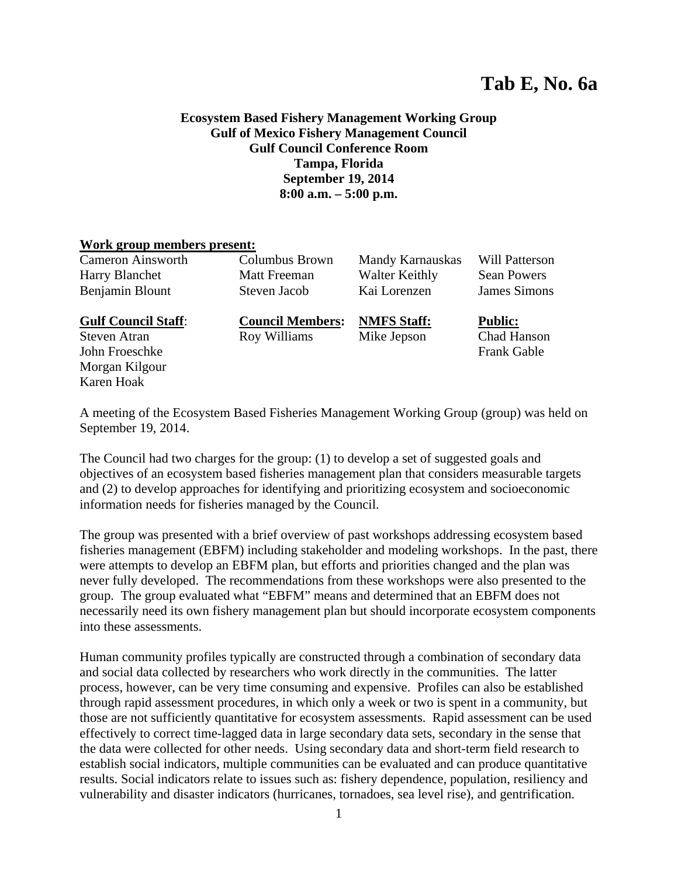# **Tab E, No. 6a**

## **Ecosystem Based Fishery Management Working Group Gulf of Mexico Fishery Management Council Gulf Council Conference Room Tampa, Florida September 19, 2014 8:00 a.m. – 5:00 p.m.**

#### **Work group members present:**

Cameron Ainsworth Columbus Brown Mandy Karnauskas Will Patterson Harry Blanchet Matt Freeman Walter Keithly Sean Powers Benjamin Blount Steven Jacob Kai Lorenzen James Simons **Gulf Council Staff**: **Council Members: NMFS Staff: Public:** Steven Atran **Roy Williams** Mike Jepson Chad Hanson John Froeschke Frank Gable Morgan Kilgour Karen Hoak

A meeting of the Ecosystem Based Fisheries Management Working Group (group) was held on September 19, 2014.

The Council had two charges for the group: (1) to develop a set of suggested goals and objectives of an ecosystem based fisheries management plan that considers measurable targets and (2) to develop approaches for identifying and prioritizing ecosystem and socioeconomic information needs for fisheries managed by the Council.

The group was presented with a brief overview of past workshops addressing ecosystem based fisheries management (EBFM) including stakeholder and modeling workshops. In the past, there were attempts to develop an EBFM plan, but efforts and priorities changed and the plan was never fully developed. The recommendations from these workshops were also presented to the group. The group evaluated what "EBFM" means and determined that an EBFM does not necessarily need its own fishery management plan but should incorporate ecosystem components into these assessments.

Human community profiles typically are constructed through a combination of secondary data and social data collected by researchers who work directly in the communities. The latter process, however, can be very time consuming and expensive. Profiles can also be established through rapid assessment procedures, in which only a week or two is spent in a community, but those are not sufficiently quantitative for ecosystem assessments. Rapid assessment can be used effectively to correct time-lagged data in large secondary data sets, secondary in the sense that the data were collected for other needs. Using secondary data and short-term field research to establish social indicators, multiple communities can be evaluated and can produce quantitative results. Social indicators relate to issues such as: fishery dependence, population, resiliency and vulnerability and disaster indicators (hurricanes, tornadoes, sea level rise), and gentrification.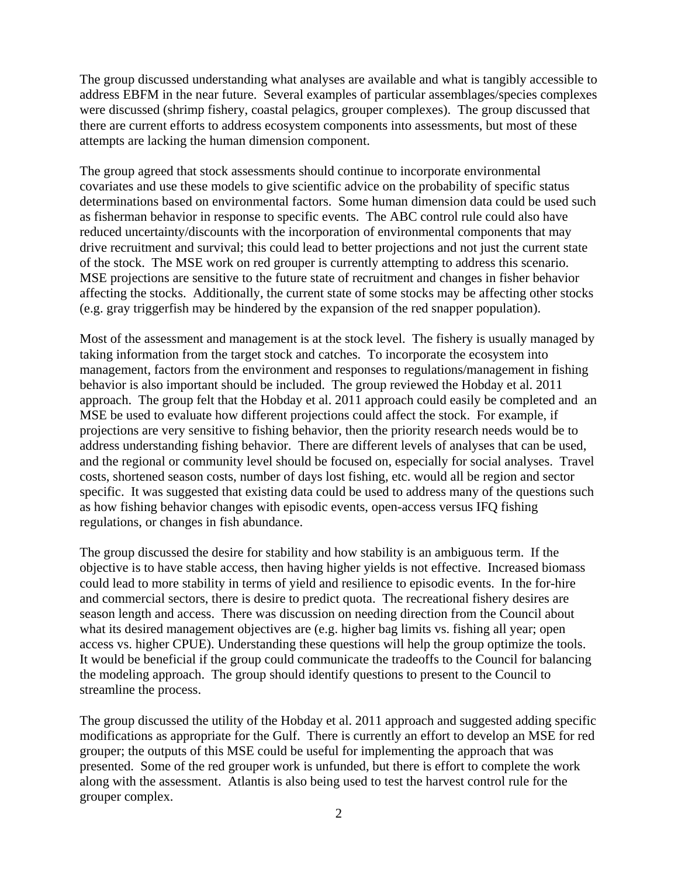The group discussed understanding what analyses are available and what is tangibly accessible to address EBFM in the near future. Several examples of particular assemblages/species complexes were discussed (shrimp fishery, coastal pelagics, grouper complexes). The group discussed that there are current efforts to address ecosystem components into assessments, but most of these attempts are lacking the human dimension component.

The group agreed that stock assessments should continue to incorporate environmental covariates and use these models to give scientific advice on the probability of specific status determinations based on environmental factors. Some human dimension data could be used such as fisherman behavior in response to specific events. The ABC control rule could also have reduced uncertainty/discounts with the incorporation of environmental components that may drive recruitment and survival; this could lead to better projections and not just the current state of the stock. The MSE work on red grouper is currently attempting to address this scenario. MSE projections are sensitive to the future state of recruitment and changes in fisher behavior affecting the stocks. Additionally, the current state of some stocks may be affecting other stocks (e.g. gray triggerfish may be hindered by the expansion of the red snapper population).

Most of the assessment and management is at the stock level. The fishery is usually managed by taking information from the target stock and catches. To incorporate the ecosystem into management, factors from the environment and responses to regulations/management in fishing behavior is also important should be included. The group reviewed the Hobday et al. 2011 approach. The group felt that the Hobday et al. 2011 approach could easily be completed and an MSE be used to evaluate how different projections could affect the stock. For example, if projections are very sensitive to fishing behavior, then the priority research needs would be to address understanding fishing behavior. There are different levels of analyses that can be used, and the regional or community level should be focused on, especially for social analyses. Travel costs, shortened season costs, number of days lost fishing, etc. would all be region and sector specific. It was suggested that existing data could be used to address many of the questions such as how fishing behavior changes with episodic events, open-access versus IFQ fishing regulations, or changes in fish abundance.

The group discussed the desire for stability and how stability is an ambiguous term. If the objective is to have stable access, then having higher yields is not effective. Increased biomass could lead to more stability in terms of yield and resilience to episodic events. In the for-hire and commercial sectors, there is desire to predict quota. The recreational fishery desires are season length and access. There was discussion on needing direction from the Council about what its desired management objectives are (e.g. higher bag limits vs. fishing all year; open access vs. higher CPUE). Understanding these questions will help the group optimize the tools. It would be beneficial if the group could communicate the tradeoffs to the Council for balancing the modeling approach. The group should identify questions to present to the Council to streamline the process.

The group discussed the utility of the Hobday et al. 2011 approach and suggested adding specific modifications as appropriate for the Gulf. There is currently an effort to develop an MSE for red grouper; the outputs of this MSE could be useful for implementing the approach that was presented. Some of the red grouper work is unfunded, but there is effort to complete the work along with the assessment. Atlantis is also being used to test the harvest control rule for the grouper complex.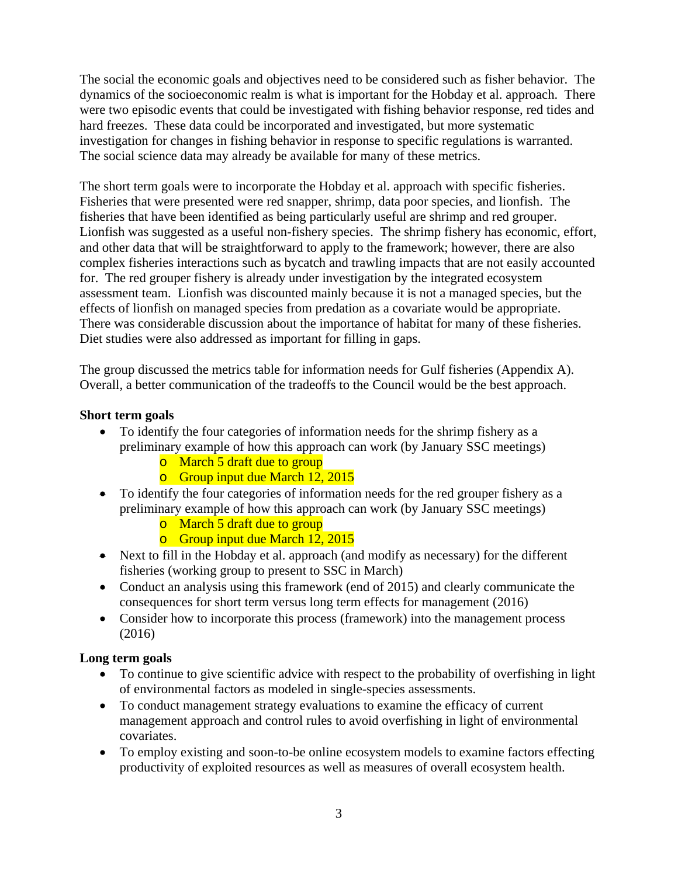The social the economic goals and objectives need to be considered such as fisher behavior. The dynamics of the socioeconomic realm is what is important for the Hobday et al. approach. There were two episodic events that could be investigated with fishing behavior response, red tides and hard freezes. These data could be incorporated and investigated, but more systematic investigation for changes in fishing behavior in response to specific regulations is warranted. The social science data may already be available for many of these metrics.

The short term goals were to incorporate the Hobday et al. approach with specific fisheries. Fisheries that were presented were red snapper, shrimp, data poor species, and lionfish. The fisheries that have been identified as being particularly useful are shrimp and red grouper. Lionfish was suggested as a useful non-fishery species. The shrimp fishery has economic, effort, and other data that will be straightforward to apply to the framework; however, there are also complex fisheries interactions such as bycatch and trawling impacts that are not easily accounted for. The red grouper fishery is already under investigation by the integrated ecosystem assessment team. Lionfish was discounted mainly because it is not a managed species, but the effects of lionfish on managed species from predation as a covariate would be appropriate. There was considerable discussion about the importance of habitat for many of these fisheries. Diet studies were also addressed as important for filling in gaps.

The group discussed the metrics table for information needs for Gulf fisheries (Appendix A). Overall, a better communication of the tradeoffs to the Council would be the best approach.

# **Short term goals**

- To identify the four categories of information needs for the shrimp fishery as a preliminary example of how this approach can work (by January SSC meetings)
	- o March 5 draft due to group
	- o Group input due March 12, 2015
- To identify the four categories of information needs for the red grouper fishery as a preliminary example of how this approach can work (by January SSC meetings)
	- o March 5 draft due to group
	- o Group input due March 12, 2015
- Next to fill in the Hobday et al. approach (and modify as necessary) for the different fisheries (working group to present to SSC in March)
- Conduct an analysis using this framework (end of 2015) and clearly communicate the consequences for short term versus long term effects for management (2016)
- Consider how to incorporate this process (framework) into the management process (2016)

# **Long term goals**

- To continue to give scientific advice with respect to the probability of overfishing in light of environmental factors as modeled in single-species assessments.
- To conduct management strategy evaluations to examine the efficacy of current management approach and control rules to avoid overfishing in light of environmental covariates.
- To employ existing and soon-to-be online ecosystem models to examine factors effecting productivity of exploited resources as well as measures of overall ecosystem health.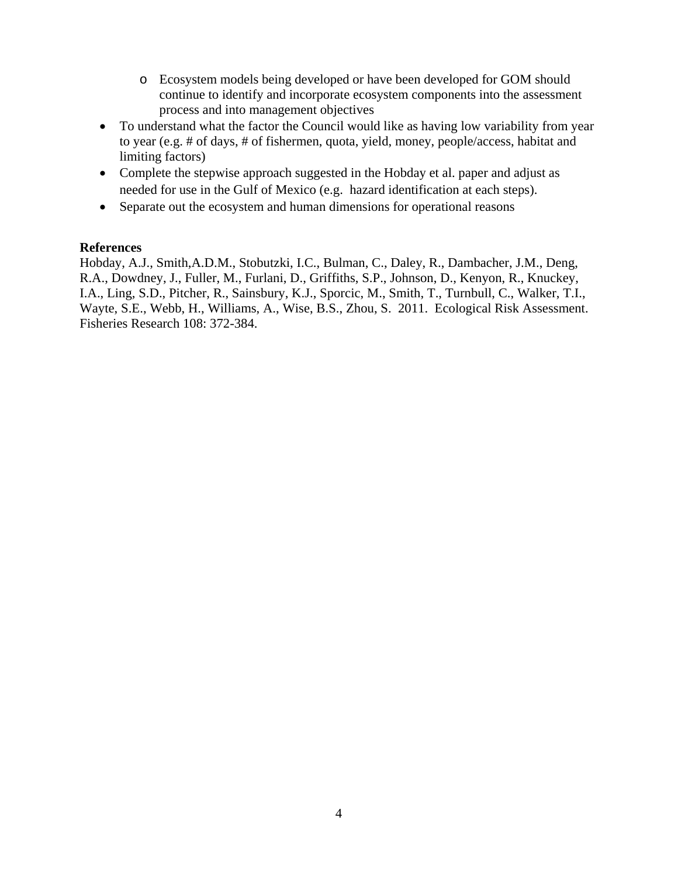- o Ecosystem models being developed or have been developed for GOM should continue to identify and incorporate ecosystem components into the assessment process and into management objectives
- To understand what the factor the Council would like as having low variability from year to year (e.g. # of days, # of fishermen, quota, yield, money, people/access, habitat and limiting factors)
- Complete the stepwise approach suggested in the Hobday et al. paper and adjust as needed for use in the Gulf of Mexico (e.g. hazard identification at each steps).
- Separate out the ecosystem and human dimensions for operational reasons

### **References**

Hobday, A.J., Smith,A.D.M., Stobutzki, I.C., Bulman, C., Daley, R., Dambacher, J.M., Deng, R.A., Dowdney, J., Fuller, M., Furlani, D., Griffiths, S.P., Johnson, D., Kenyon, R., Knuckey, I.A., Ling, S.D., Pitcher, R., Sainsbury, K.J., Sporcic, M., Smith, T., Turnbull, C., Walker, T.I., Wayte, S.E., Webb, H., Williams, A., Wise, B.S., Zhou, S. 2011. Ecological Risk Assessment. Fisheries Research 108: 372-384.